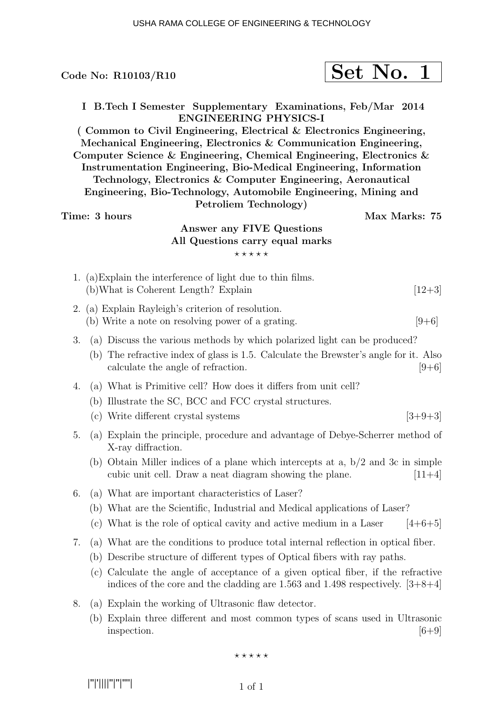|               | Code No: $R10103/R10$                                                                                                                                                                                                                                                                                                                                                                                                                                                                                                                                                                                                       | Set No. 1     |           |
|---------------|-----------------------------------------------------------------------------------------------------------------------------------------------------------------------------------------------------------------------------------------------------------------------------------------------------------------------------------------------------------------------------------------------------------------------------------------------------------------------------------------------------------------------------------------------------------------------------------------------------------------------------|---------------|-----------|
| Time: 3 hours | I B.Tech I Semester Supplementary Examinations, Feb/Mar 2014<br><b>ENGINEERING PHYSICS-I</b><br>(Common to Civil Engineering, Electrical & Electronics Engineering,<br>Mechanical Engineering, Electronics & Communication Engineering,<br>Computer Science & Engineering, Chemical Engineering, Electronics $\&$<br>Instrumentation Engineering, Bio-Medical Engineering, Information<br>Technology, Electronics & Computer Engineering, Aeronautical<br>Engineering, Bio-Technology, Automobile Engineering, Mining and<br>Petroliem Technology)<br>Answer any FIVE Questions<br>All Questions carry equal marks<br>***** | Max Marks: 75 |           |
|               | 1. (a) Explain the interference of light due to thin films.<br>(b) What is Coherent Length? Explain                                                                                                                                                                                                                                                                                                                                                                                                                                                                                                                         |               | $[12+3]$  |
|               | 2. (a) Explain Rayleigh's criterion of resolution.<br>(b) Write a note on resolving power of a grating.                                                                                                                                                                                                                                                                                                                                                                                                                                                                                                                     |               | $[9+6]$   |
| 3.            | (a) Discuss the various methods by which polarized light can be produced?<br>(b) The refractive index of glass is 1.5. Calculate the Brewster's angle for it. Also<br>calculate the angle of refraction.                                                                                                                                                                                                                                                                                                                                                                                                                    |               | $[9+6]$   |
| 4.            | (a) What is Primitive cell? How does it differs from unit cell?<br>(b) Illustrate the SC, BCC and FCC crystal structures.<br>(c) Write different crystal systems                                                                                                                                                                                                                                                                                                                                                                                                                                                            |               | $[3+9+3]$ |
| 5.            | (a) Explain the principle, procedure and advantage of Debye-Scherrer method of<br>X-ray diffraction.<br>(b) Obtain Miller indices of a plane which intercepts at a, $b/2$ and 3c in simple<br>cubic unit cell. Draw a neat diagram showing the plane.                                                                                                                                                                                                                                                                                                                                                                       |               | $[11+4]$  |
| 6.            | (a) What are important characteristics of Laser?<br>(b) What are the Scientific, Industrial and Medical applications of Laser?<br>(c) What is the role of optical cavity and active medium in a Laser                                                                                                                                                                                                                                                                                                                                                                                                                       |               | $[4+6+5]$ |
| 7.            | (a) What are the conditions to produce total internal reflection in optical fiber.<br>(b) Describe structure of different types of Optical fibers with ray paths.<br>(c) Calculate the angle of acceptance of a given optical fiber, if the refractive<br>indices of the core and the cladding are 1.563 and 1.498 respectively. $[3+8+4]$                                                                                                                                                                                                                                                                                  |               |           |
| 8.            | (a) Explain the working of Ultrasonic flaw detector.<br>(b) Explain three different and most common types of scans used in Ultrasonic<br>inspection.                                                                                                                                                                                                                                                                                                                                                                                                                                                                        |               | $[6 + 9]$ |
|               | *****                                                                                                                                                                                                                                                                                                                                                                                                                                                                                                                                                                                                                       |               |           |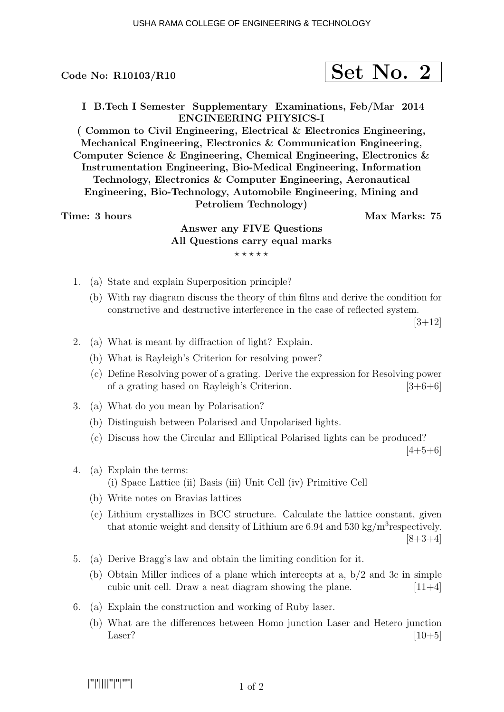## Code No:  $R10103/R10$

|--|--|

I B.Tech I Semester Supplementary Examinations, Feb/Mar 2014 ENGINEERING PHYSICS-I

( Common to Civil Engineering, Electrical & Electronics Engineering, Mechanical Engineering, Electronics & Communication Engineering, Computer Science & Engineering, Chemical Engineering, Electronics & Instrumentation Engineering, Bio-Medical Engineering, Information Technology, Electronics & Computer Engineering, Aeronautical Engineering, Bio-Technology, Automobile Engineering, Mining and Petroliem Technology)

## Time: 3 hours and the set of the Max Marks: 75

# Answer any FIVE Questions All Questions carry equal marks  $***$ \*\*

- 1. (a) State and explain Superposition principle?
	- (b) With ray diagram discuss the theory of thin films and derive the condition for constructive and destructive interference in the case of reflected system.

 $[3+12]$ 

- 2. (a) What is meant by diffraction of light? Explain.
	- (b) What is Rayleigh's Criterion for resolving power?
	- (c) Define Resolving power of a grating. Derive the expression for Resolving power of a grating based on Rayleigh's Criterion.  $[3+6+6]$
- 3. (a) What do you mean by Polarisation?
	- (b) Distinguish between Polarised and Unpolarised lights.
	- (c) Discuss how the Circular and Elliptical Polarised lights can be produced?

 $[4+5+6]$ 

- 4. (a) Explain the terms: (i) Space Lattice (ii) Basis (iii) Unit Cell (iv) Primitive Cell
	- (b) Write notes on Bravias lattices
	- (c) Lithium crystallizes in BCC structure. Calculate the lattice constant, given that atomic weight and density of Lithium are  $6.94$  and  $530 \text{ kg/m}^3$  respectively.  $[8+3+4]$
- 5. (a) Derive Bragg's law and obtain the limiting condition for it.
	- (b) Obtain Miller indices of a plane which intercepts at a, b/2 and 3c in simple cubic unit cell. Draw a neat diagram showing the plane.  $[11+4]$
- 6. (a) Explain the construction and working of Ruby laser.
	- (b) What are the differences between Homo junction Laser and Hetero junction  $\text{Laser?}$  [10+5]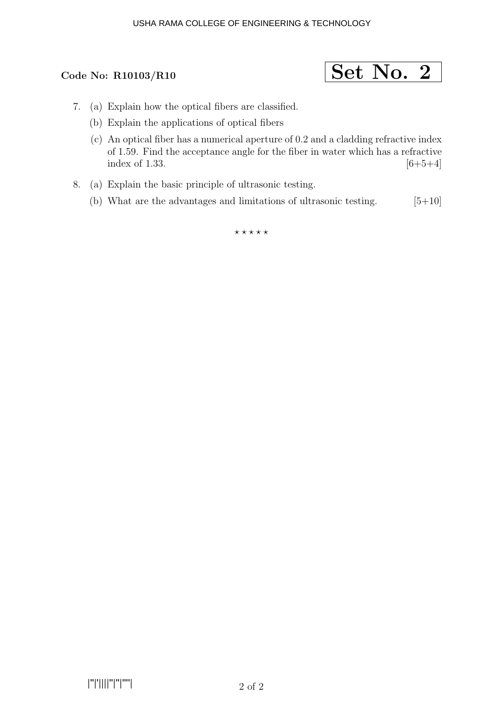### USHA RAMA COLLEGE OF ENGINEERING & TECHNOLOGY



- 7. (a) Explain how the optical fibers are classified.
	- (b) Explain the applications of optical fibers
	- (c) An optical fiber has a numerical aperture of 0.2 and a cladding refractive index of 1.59. Find the acceptance angle for the fiber in water which has a refractive index of 1.33.  $[6+5+4]$
- 8. (a) Explain the basic principle of ultrasonic testing.
	- (b) What are the advantages and limitations of ultrasonic testing.  $[5+10]$

 $***$ \*\*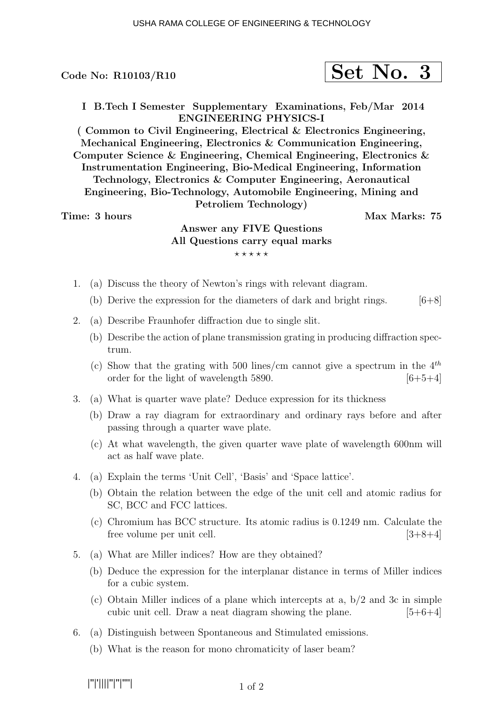Code No:  $R10103/R10$ 

I B.Tech I Semester Supplementary Examinations, Feb/Mar 2014 ENGINEERING PHYSICS-I

( Common to Civil Engineering, Electrical & Electronics Engineering, Mechanical Engineering, Electronics & Communication Engineering, Computer Science & Engineering, Chemical Engineering, Electronics & Instrumentation Engineering, Bio-Medical Engineering, Information Technology, Electronics & Computer Engineering, Aeronautical Engineering, Bio-Technology, Automobile Engineering, Mining and Petroliem Technology)

Time: 3 hours and the set of the Max Marks: 75

# Answer any FIVE Questions All Questions carry equal marks  $***$ \*\*

- 1. (a) Discuss the theory of Newton's rings with relevant diagram.
	- (b) Derive the expression for the diameters of dark and bright rings.  $[6+8]$
- 2. (a) Describe Fraunhofer diffraction due to single slit.
	- (b) Describe the action of plane transmission grating in producing diffraction spectrum.
	- (c) Show that the grating with 500 lines/cm cannot give a spectrum in the  $4^{th}$ order for the light of wavelength 5890.  $[6+5+4]$
- 3. (a) What is quarter wave plate? Deduce expression for its thickness
	- (b) Draw a ray diagram for extraordinary and ordinary rays before and after passing through a quarter wave plate.
	- (c) At what wavelength, the given quarter wave plate of wavelength 600nm will act as half wave plate.
- 4. (a) Explain the terms 'Unit Cell', 'Basis' and 'Space lattice'.
	- (b) Obtain the relation between the edge of the unit cell and atomic radius for SC, BCC and FCC lattices.
	- (c) Chromium has BCC structure. Its atomic radius is 0.1249 nm. Calculate the free volume per unit cell. [3+8+4]
- 5. (a) What are Miller indices? How are they obtained?
	- (b) Deduce the expression for the interplanar distance in terms of Miller indices for a cubic system.
	- (c) Obtain Miller indices of a plane which intercepts at a,  $b/2$  and 3c in simple cubic unit cell. Draw a neat diagram showing the plane.  $[5+6+4]$
- 6. (a) Distinguish between Spontaneous and Stimulated emissions.
	- (b) What is the reason for mono chromaticity of laser beam?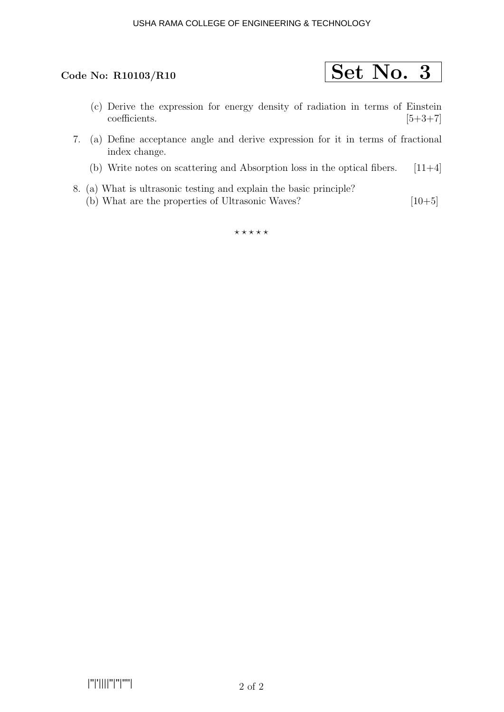### USHA RAMA COLLEGE OF ENGINEERING & TECHNOLOGY



- (c) Derive the expression for energy density of radiation in terms of Einstein  $\text{coefficients.}$  [5+3+7]
- 7. (a) Define acceptance angle and derive expression for it in terms of fractional index change.
	- (b) Write notes on scattering and Absorption loss in the optical fibers.  $[11+4]$
- 8. (a) What is ultrasonic testing and explain the basic principle? (b) What are the properties of Ultrasonic Waves?  $[10+5]$

 $***$ \*\*